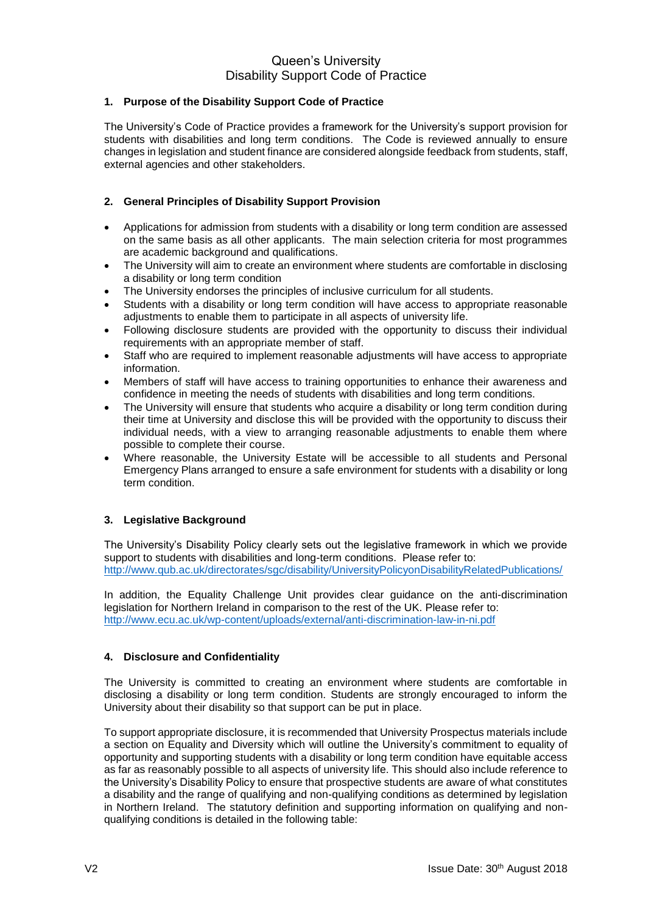## **1. Purpose of the Disability Support Code of Practice**

The University's Code of Practice provides a framework for the University's support provision for students with disabilities and long term conditions. The Code is reviewed annually to ensure changes in legislation and student finance are considered alongside feedback from students, staff, external agencies and other stakeholders.

## **2. General Principles of Disability Support Provision**

- Applications for admission from students with a disability or long term condition are assessed on the same basis as all other applicants. The main selection criteria for most programmes are academic background and qualifications.
- The University will aim to create an environment where students are comfortable in disclosing a disability or long term condition
- The University endorses the principles of inclusive curriculum for all students.
- Students with a disability or long term condition will have access to appropriate reasonable adjustments to enable them to participate in all aspects of university life.
- Following disclosure students are provided with the opportunity to discuss their individual requirements with an appropriate member of staff.
- Staff who are required to implement reasonable adjustments will have access to appropriate information.
- Members of staff will have access to training opportunities to enhance their awareness and confidence in meeting the needs of students with disabilities and long term conditions.
- The University will ensure that students who acquire a disability or long term condition during their time at University and disclose this will be provided with the opportunity to discuss their individual needs, with a view to arranging reasonable adjustments to enable them where possible to complete their course.
- Where reasonable, the University Estate will be accessible to all students and Personal Emergency Plans arranged to ensure a safe environment for students with a disability or long term condition.

## **3. Legislative Background**

The University's Disability Policy clearly sets out the legislative framework in which we provide support to students with disabilities and long-term conditions. Please refer to: <http://www.qub.ac.uk/directorates/sgc/disability/UniversityPolicyonDisabilityRelatedPublications/>

In addition, the Equality Challenge Unit provides clear guidance on the anti-discrimination legislation for Northern Ireland in comparison to the rest of the UK. Please refer to: <http://www.ecu.ac.uk/wp-content/uploads/external/anti-discrimination-law-in-ni.pdf>

## **4. Disclosure and Confidentiality**

The University is committed to creating an environment where students are comfortable in disclosing a disability or long term condition. Students are strongly encouraged to inform the University about their disability so that support can be put in place.

To support appropriate disclosure, it is recommended that University Prospectus materials include a section on Equality and Diversity which will outline the University's commitment to equality of opportunity and supporting students with a disability or long term condition have equitable access as far as reasonably possible to all aspects of university life. This should also include reference to the University's Disability Policy to ensure that prospective students are aware of what constitutes a disability and the range of qualifying and non-qualifying conditions as determined by legislation in Northern Ireland. The statutory definition and supporting information on qualifying and nonqualifying conditions is detailed in the following table: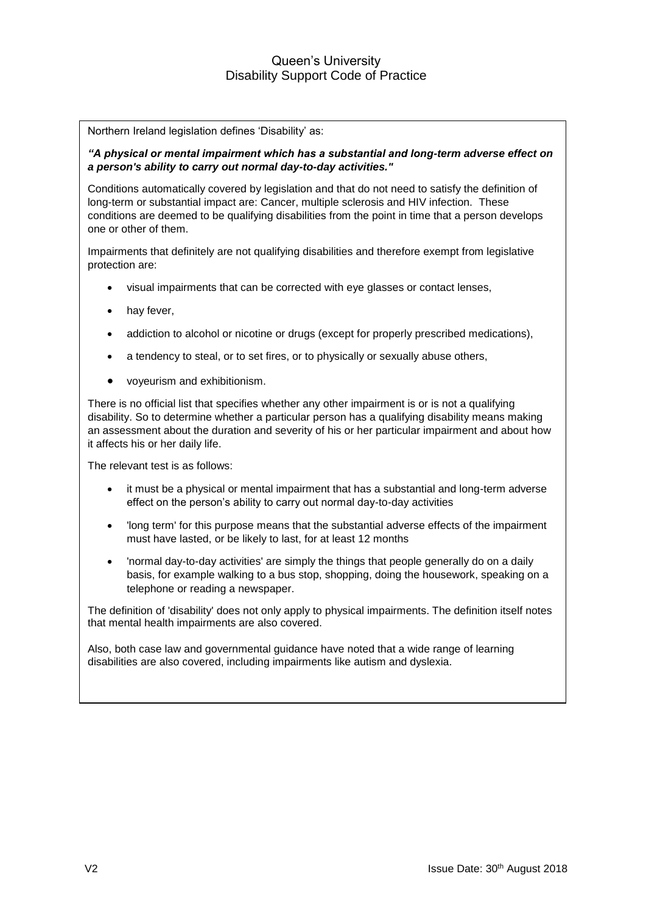Northern Ireland legislation defines 'Disability' as:

*"A physical or mental impairment which has a substantial and long-term adverse effect on a person's ability to carry out normal day-to-day activities."*

Conditions automatically covered by legislation and that do not need to satisfy the definition of long-term or substantial impact are: Cancer, multiple sclerosis and HIV infection. These conditions are deemed to be qualifying disabilities from the point in time that a person develops one or other of them.

Impairments that definitely are not qualifying disabilities and therefore exempt from legislative protection are:

- visual impairments that can be corrected with eye glasses or contact lenses,
- hay fever,
- addiction to alcohol or nicotine or drugs (except for properly prescribed medications),
- a tendency to steal, or to set fires, or to physically or sexually abuse others,
- voyeurism and exhibitionism.

There is no official list that specifies whether any other impairment is or is not a qualifying disability. So to determine whether a particular person has a qualifying disability means making an assessment about the duration and severity of his or her particular impairment and about how it affects his or her daily life.

The relevant test is as follows:

- it must be a physical or mental impairment that has a substantial and long-term adverse effect on the person's ability to carry out normal day-to-day activities
- 'long term' for this purpose means that the substantial adverse effects of the impairment must have lasted, or be likely to last, for at least 12 months
- 'normal day-to-day activities' are simply the things that people generally do on a daily basis, for example walking to a bus stop, shopping, doing the housework, speaking on a telephone or reading a newspaper.

The definition of 'disability' does not only apply to physical impairments. The definition itself notes that mental health impairments are also covered.

Also, both case law and governmental guidance have noted that a wide range of learning disabilities are also covered, including impairments like autism and dyslexia.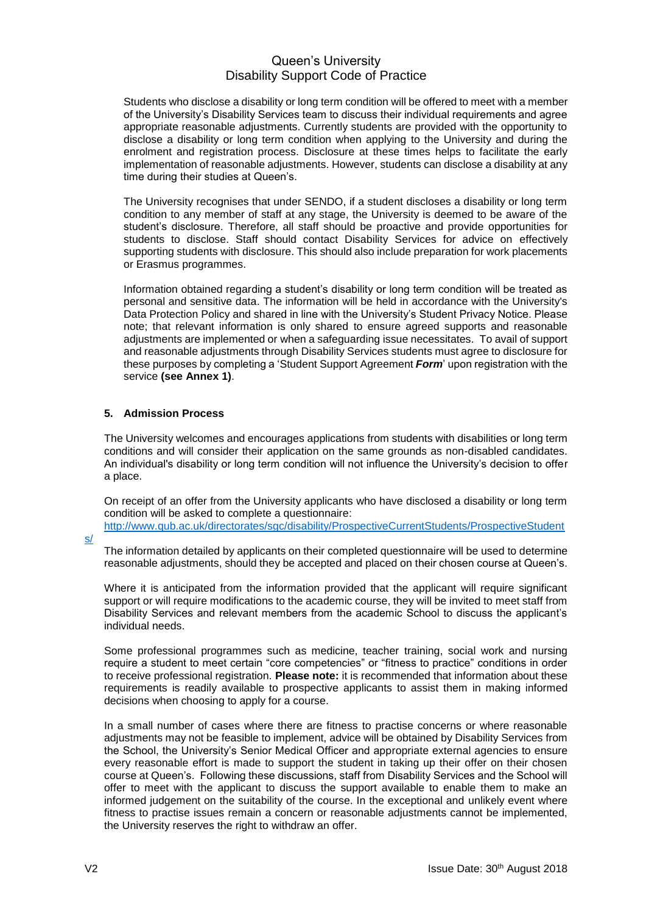Students who disclose a disability or long term condition will be offered to meet with a member of the University's Disability Services team to discuss their individual requirements and agree appropriate reasonable adjustments. Currently students are provided with the opportunity to disclose a disability or long term condition when applying to the University and during the enrolment and registration process. Disclosure at these times helps to facilitate the early implementation of reasonable adjustments. However, students can disclose a disability at any time during their studies at Queen's.

The University recognises that under SENDO, if a student discloses a disability or long term condition to any member of staff at any stage, the University is deemed to be aware of the student's disclosure. Therefore, all staff should be proactive and provide opportunities for students to disclose. Staff should contact Disability Services for advice on effectively supporting students with disclosure. This should also include preparation for work placements or Erasmus programmes.

Information obtained regarding a student's disability or long term condition will be treated as personal and sensitive data. The information will be held in accordance with the University's Data Protection Policy and shared in line with the University's Student Privacy Notice. Please note; that relevant information is only shared to ensure agreed supports and reasonable adjustments are implemented or when a safeguarding issue necessitates. To avail of support and reasonable adjustments through Disability Services students must agree to disclosure for these purposes by completing a 'Student Support Agreement *Form*' upon registration with the service **(see Annex 1)**.

## **5. Admission Process**

The University welcomes and encourages applications from students with disabilities or long term conditions and will consider their application on the same grounds as non-disabled candidates. An individual's disability or long term condition will not influence the University's decision to offer a place.

On receipt of an offer from the University applicants who have disclosed a disability or long term condition will be asked to complete a questionnaire: [http://www.qub.ac.uk/directorates/sgc/disability/ProspectiveCurrentStudents/ProspectiveStudent](http://www.qub.ac.uk/directorates/sgc/disability/ProspectiveCurrentStudents/ProspectiveStudents/)

[s/](http://www.qub.ac.uk/directorates/sgc/disability/ProspectiveCurrentStudents/ProspectiveStudents/)

The information detailed by applicants on their completed questionnaire will be used to determine reasonable adjustments, should they be accepted and placed on their chosen course at Queen's.

Where it is anticipated from the information provided that the applicant will require significant support or will require modifications to the academic course, they will be invited to meet staff from Disability Services and relevant members from the academic School to discuss the applicant's individual needs.

Some professional programmes such as medicine, teacher training, social work and nursing require a student to meet certain "core competencies" or "fitness to practice" conditions in order to receive professional registration. **Please note:** it is recommended that information about these requirements is readily available to prospective applicants to assist them in making informed decisions when choosing to apply for a course.

In a small number of cases where there are fitness to practise concerns or where reasonable adjustments may not be feasible to implement, advice will be obtained by Disability Services from the School, the University's Senior Medical Officer and appropriate external agencies to ensure every reasonable effort is made to support the student in taking up their offer on their chosen course at Queen's. Following these discussions, staff from Disability Services and the School will offer to meet with the applicant to discuss the support available to enable them to make an informed judgement on the suitability of the course. In the exceptional and unlikely event where fitness to practise issues remain a concern or reasonable adjustments cannot be implemented, the University reserves the right to withdraw an offer.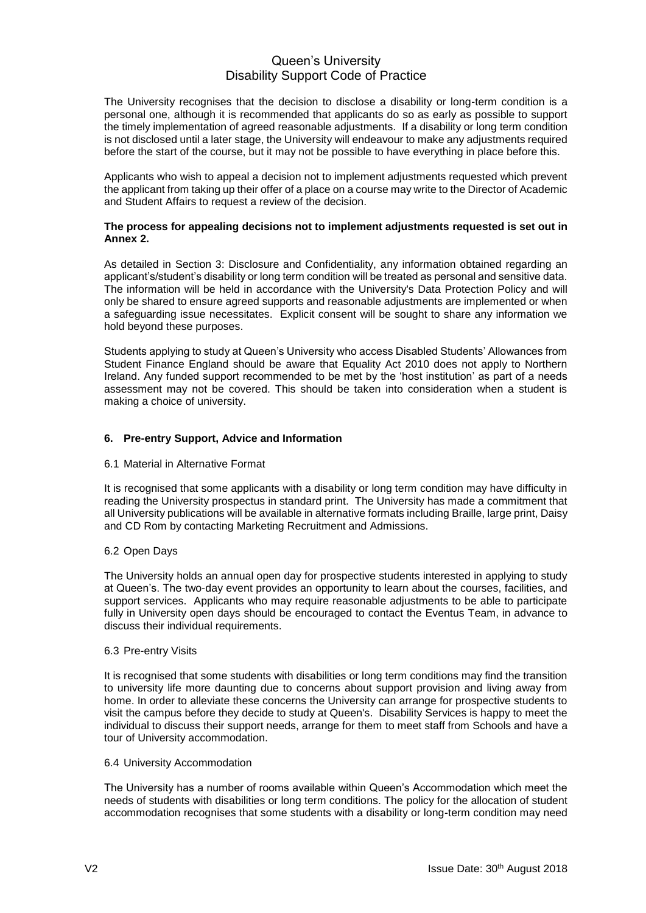The University recognises that the decision to disclose a disability or long-term condition is a personal one, although it is recommended that applicants do so as early as possible to support the timely implementation of agreed reasonable adjustments. If a disability or long term condition is not disclosed until a later stage, the University will endeavour to make any adjustments required before the start of the course, but it may not be possible to have everything in place before this.

Applicants who wish to appeal a decision not to implement adjustments requested which prevent the applicant from taking up their offer of a place on a course may write to the Director of Academic and Student Affairs to request a review of the decision.

#### **The process for appealing decisions not to implement adjustments requested is set out in Annex 2.**

As detailed in Section 3: Disclosure and Confidentiality, any information obtained regarding an applicant's/student's disability or long term condition will be treated as personal and sensitive data. The information will be held in accordance with the University's Data Protection Policy and will only be shared to ensure agreed supports and reasonable adjustments are implemented or when a safeguarding issue necessitates. Explicit consent will be sought to share any information we hold beyond these purposes.

Students applying to study at Queen's University who access Disabled Students' Allowances from Student Finance England should be aware that Equality Act 2010 does not apply to Northern Ireland. Any funded support recommended to be met by the 'host institution' as part of a needs assessment may not be covered. This should be taken into consideration when a student is making a choice of university.

## **6. Pre-entry Support, Advice and Information**

## 6.1 Material in Alternative Format

It is recognised that some applicants with a disability or long term condition may have difficulty in reading the University prospectus in standard print. The University has made a commitment that all University publications will be available in alternative formats including Braille, large print, Daisy and CD Rom by contacting Marketing Recruitment and Admissions.

## 6.2 Open Days

The University holds an annual open day for prospective students interested in applying to study at Queen's. The two-day event provides an opportunity to learn about the courses, facilities, and support services. Applicants who may require reasonable adjustments to be able to participate fully in University open days should be encouraged to contact the Eventus Team, in advance to discuss their individual requirements.

#### 6.3 Pre-entry Visits

It is recognised that some students with disabilities or long term conditions may find the transition to university life more daunting due to concerns about support provision and living away from home. In order to alleviate these concerns the University can arrange for prospective students to visit the campus before they decide to study at Queen's. Disability Services is happy to meet the individual to discuss their support needs, arrange for them to meet staff from Schools and have a tour of University accommodation.

#### 6.4 University Accommodation

The University has a number of rooms available within Queen's Accommodation which meet the needs of students with disabilities or long term conditions. The policy for the allocation of student accommodation recognises that some students with a disability or long-term condition may need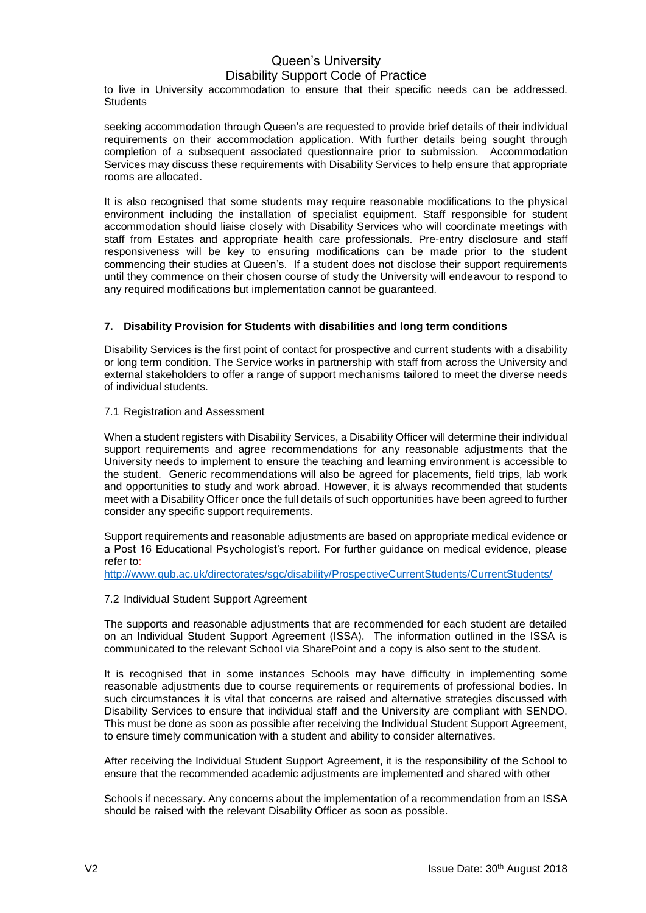to live in University accommodation to ensure that their specific needs can be addressed. **Students** 

seeking accommodation through Queen's are requested to provide brief details of their individual requirements on their accommodation application. With further details being sought through completion of a subsequent associated questionnaire prior to submission. Accommodation Services may discuss these requirements with Disability Services to help ensure that appropriate rooms are allocated.

It is also recognised that some students may require reasonable modifications to the physical environment including the installation of specialist equipment. Staff responsible for student accommodation should liaise closely with Disability Services who will coordinate meetings with staff from Estates and appropriate health care professionals. Pre-entry disclosure and staff responsiveness will be key to ensuring modifications can be made prior to the student commencing their studies at Queen's. If a student does not disclose their support requirements until they commence on their chosen course of study the University will endeavour to respond to any required modifications but implementation cannot be guaranteed.

## **7. Disability Provision for Students with disabilities and long term conditions**

Disability Services is the first point of contact for prospective and current students with a disability or long term condition. The Service works in partnership with staff from across the University and external stakeholders to offer a range of support mechanisms tailored to meet the diverse needs of individual students.

## 7.1 Registration and Assessment

When a student registers with Disability Services, a Disability Officer will determine their individual support requirements and agree recommendations for any reasonable adjustments that the University needs to implement to ensure the teaching and learning environment is accessible to the student. Generic recommendations will also be agreed for placements, field trips, lab work and opportunities to study and work abroad. However, it is always recommended that students meet with a Disability Officer once the full details of such opportunities have been agreed to further consider any specific support requirements.

Support requirements and reasonable adjustments are based on appropriate medical evidence or a Post 16 Educational Psychologist's report. For further guidance on medical evidence, please refer to:

<http://www.qub.ac.uk/directorates/sgc/disability/ProspectiveCurrentStudents/CurrentStudents/>

## 7.2 Individual Student Support Agreement

The supports and reasonable adjustments that are recommended for each student are detailed on an Individual Student Support Agreement (ISSA). The information outlined in the ISSA is communicated to the relevant School via SharePoint and a copy is also sent to the student.

It is recognised that in some instances Schools may have difficulty in implementing some reasonable adjustments due to course requirements or requirements of professional bodies. In such circumstances it is vital that concerns are raised and alternative strategies discussed with Disability Services to ensure that individual staff and the University are compliant with SENDO. This must be done as soon as possible after receiving the Individual Student Support Agreement, to ensure timely communication with a student and ability to consider alternatives.

After receiving the Individual Student Support Agreement, it is the responsibility of the School to ensure that the recommended academic adjustments are implemented and shared with other

Schools if necessary. Any concerns about the implementation of a recommendation from an ISSA should be raised with the relevant Disability Officer as soon as possible.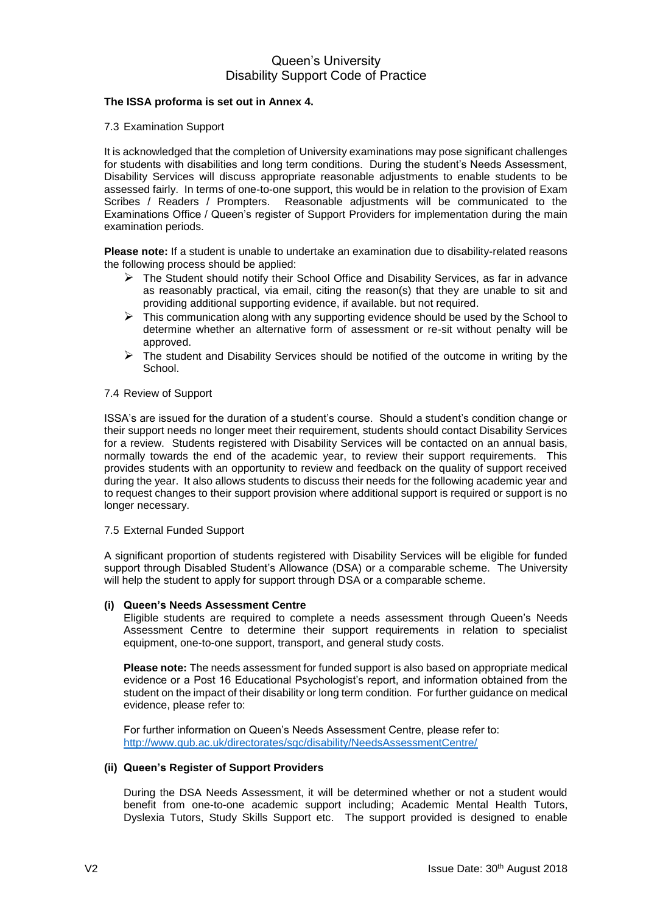## **The ISSA proforma is set out in Annex 4.**

#### 7.3 Examination Support

It is acknowledged that the completion of University examinations may pose significant challenges for students with disabilities and long term conditions. During the student's Needs Assessment, Disability Services will discuss appropriate reasonable adjustments to enable students to be assessed fairly. In terms of one-to-one support, this would be in relation to the provision of Exam Scribes / Readers / Prompters. Reasonable adjustments will be communicated to the Examinations Office / Queen's register of Support Providers for implementation during the main examination periods.

**Please note:** If a student is unable to undertake an examination due to disability-related reasons the following process should be applied:

- $\triangleright$  The Student should notify their School Office and Disability Services, as far in advance as reasonably practical, via email, citing the reason(s) that they are unable to sit and providing additional supporting evidence, if available. but not required.
- $\triangleright$  This communication along with any supporting evidence should be used by the School to determine whether an alternative form of assessment or re-sit without penalty will be approved.
- $\triangleright$  The student and Disability Services should be notified of the outcome in writing by the School.

#### 7.4 Review of Support

ISSA's are issued for the duration of a student's course. Should a student's condition change or their support needs no longer meet their requirement, students should contact Disability Services for a review. Students registered with Disability Services will be contacted on an annual basis, normally towards the end of the academic year, to review their support requirements. This provides students with an opportunity to review and feedback on the quality of support received during the year. It also allows students to discuss their needs for the following academic year and to request changes to their support provision where additional support is required or support is no longer necessary.

#### 7.5 External Funded Support

A significant proportion of students registered with Disability Services will be eligible for funded support through Disabled Student's Allowance (DSA) or a comparable scheme. The University will help the student to apply for support through DSA or a comparable scheme.

## **(i) Queen's Needs Assessment Centre**

Eligible students are required to complete a needs assessment through Queen's Needs Assessment Centre to determine their support requirements in relation to specialist equipment, one-to-one support, transport, and general study costs.

**Please note:** The needs assessment for funded support is also based on appropriate medical evidence or a Post 16 Educational Psychologist's report, and information obtained from the student on the impact of their disability or long term condition. For further guidance on medical evidence, please refer to:

For further information on Queen's Needs Assessment Centre, please refer to: <http://www.qub.ac.uk/directorates/sgc/disability/NeedsAssessmentCentre/>

#### **(ii) Queen's Register of Support Providers**

During the DSA Needs Assessment, it will be determined whether or not a student would benefit from one-to-one academic support including; Academic Mental Health Tutors, Dyslexia Tutors, Study Skills Support etc. The support provided is designed to enable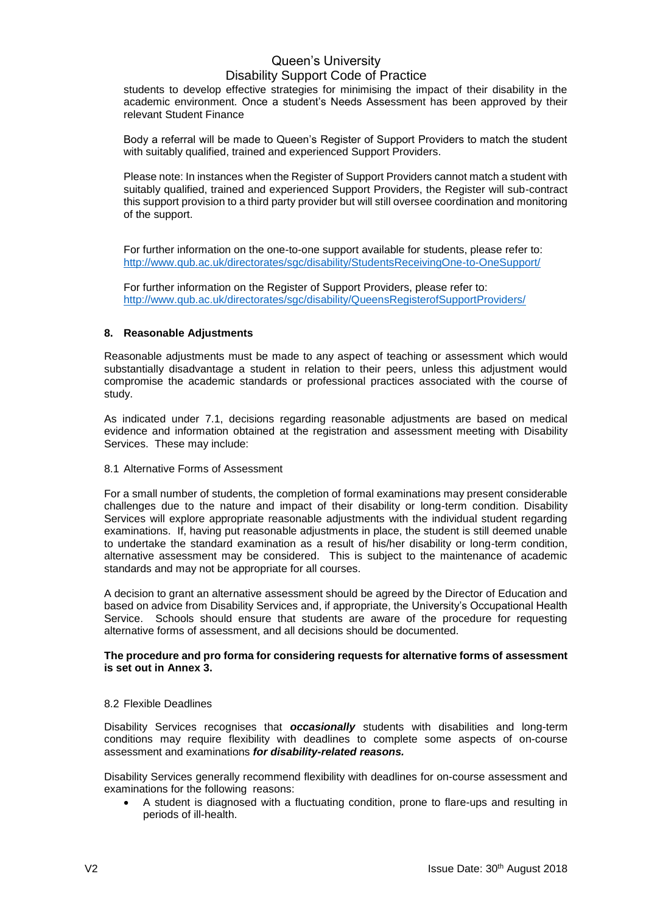students to develop effective strategies for minimising the impact of their disability in the academic environment. Once a student's Needs Assessment has been approved by their relevant Student Finance

Body a referral will be made to Queen's Register of Support Providers to match the student with suitably qualified, trained and experienced Support Providers.

Please note: In instances when the Register of Support Providers cannot match a student with suitably qualified, trained and experienced Support Providers, the Register will sub-contract this support provision to a third party provider but will still oversee coordination and monitoring of the support.

For further information on the one-to-one support available for students, please refer to: <http://www.qub.ac.uk/directorates/sgc/disability/StudentsReceivingOne-to-OneSupport/>

For further information on the Register of Support Providers, please refer to: <http://www.qub.ac.uk/directorates/sgc/disability/QueensRegisterofSupportProviders/>

## **8. Reasonable Adjustments**

Reasonable adjustments must be made to any aspect of teaching or assessment which would substantially disadvantage a student in relation to their peers, unless this adjustment would compromise the academic standards or professional practices associated with the course of study.

As indicated under 7.1, decisions regarding reasonable adjustments are based on medical evidence and information obtained at the registration and assessment meeting with Disability Services. These may include:

8.1 Alternative Forms of Assessment

For a small number of students, the completion of formal examinations may present considerable challenges due to the nature and impact of their disability or long-term condition. Disability Services will explore appropriate reasonable adjustments with the individual student regarding examinations. If, having put reasonable adjustments in place, the student is still deemed unable to undertake the standard examination as a result of his/her disability or long-term condition, alternative assessment may be considered. This is subject to the maintenance of academic standards and may not be appropriate for all courses.

A decision to grant an alternative assessment should be agreed by the Director of Education and based on advice from Disability Services and, if appropriate, the University's Occupational Health Service. Schools should ensure that students are aware of the procedure for requesting alternative forms of assessment, and all decisions should be documented.

#### **The procedure and pro forma for considering requests for alternative forms of assessment is set out in Annex 3.**

## 8.2 Flexible Deadlines

Disability Services recognises that *occasionally* students with disabilities and long-term conditions may require flexibility with deadlines to complete some aspects of on-course assessment and examinations *for disability-related reasons.*

Disability Services generally recommend flexibility with deadlines for on-course assessment and examinations for the following reasons:

 A student is diagnosed with a fluctuating condition, prone to flare-ups and resulting in periods of ill-health.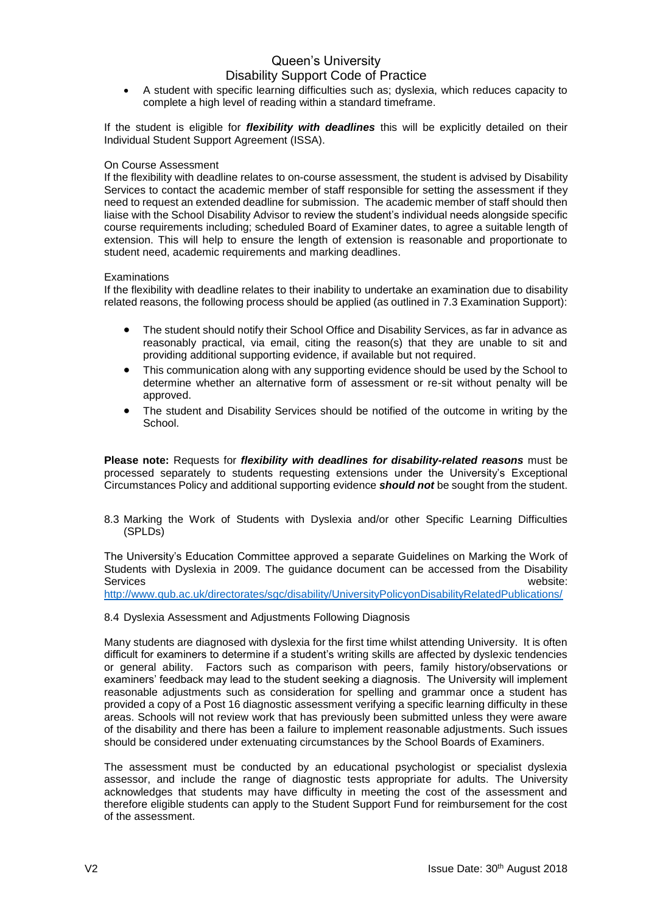A student with specific learning difficulties such as; dyslexia, which reduces capacity to complete a high level of reading within a standard timeframe.

If the student is eligible for *flexibility with deadlines* this will be explicitly detailed on their Individual Student Support Agreement (ISSA).

#### On Course Assessment

If the flexibility with deadline relates to on-course assessment, the student is advised by Disability Services to contact the academic member of staff responsible for setting the assessment if they need to request an extended deadline for submission. The academic member of staff should then liaise with the School Disability Advisor to review the student's individual needs alongside specific course requirements including; scheduled Board of Examiner dates, to agree a suitable length of extension. This will help to ensure the length of extension is reasonable and proportionate to student need, academic requirements and marking deadlines.

#### **Examinations**

If the flexibility with deadline relates to their inability to undertake an examination due to disability related reasons, the following process should be applied (as outlined in 7.3 Examination Support):

- The student should notify their School Office and Disability Services, as far in advance as reasonably practical, via email, citing the reason(s) that they are unable to sit and providing additional supporting evidence, if available but not required.
- This communication along with any supporting evidence should be used by the School to determine whether an alternative form of assessment or re-sit without penalty will be approved.
- The student and Disability Services should be notified of the outcome in writing by the School.

**Please note:** Requests for *flexibility with deadlines for disability-related reasons* must be processed separately to students requesting extensions under the University's Exceptional Circumstances Policy and additional supporting evidence *should not* be sought from the student.

8.3 Marking the Work of Students with Dyslexia and/or other Specific Learning Difficulties (SPLDs)

The University's Education Committee approved a separate Guidelines on Marking the Work of Students with Dyslexia in 2009. The guidance document can be accessed from the Disability Services website:

<http://www.qub.ac.uk/directorates/sgc/disability/UniversityPolicyonDisabilityRelatedPublications/>

#### 8.4 Dyslexia Assessment and Adjustments Following Diagnosis

Many students are diagnosed with dyslexia for the first time whilst attending University. It is often difficult for examiners to determine if a student's writing skills are affected by dyslexic tendencies or general ability. Factors such as comparison with peers, family history/observations or examiners' feedback may lead to the student seeking a diagnosis. The University will implement reasonable adjustments such as consideration for spelling and grammar once a student has provided a copy of a Post 16 diagnostic assessment verifying a specific learning difficulty in these areas. Schools will not review work that has previously been submitted unless they were aware of the disability and there has been a failure to implement reasonable adjustments. Such issues should be considered under extenuating circumstances by the School Boards of Examiners.

The assessment must be conducted by an educational psychologist or specialist dyslexia assessor, and include the range of diagnostic tests appropriate for adults. The University acknowledges that students may have difficulty in meeting the cost of the assessment and therefore eligible students can apply to the Student Support Fund for reimbursement for the cost of the assessment.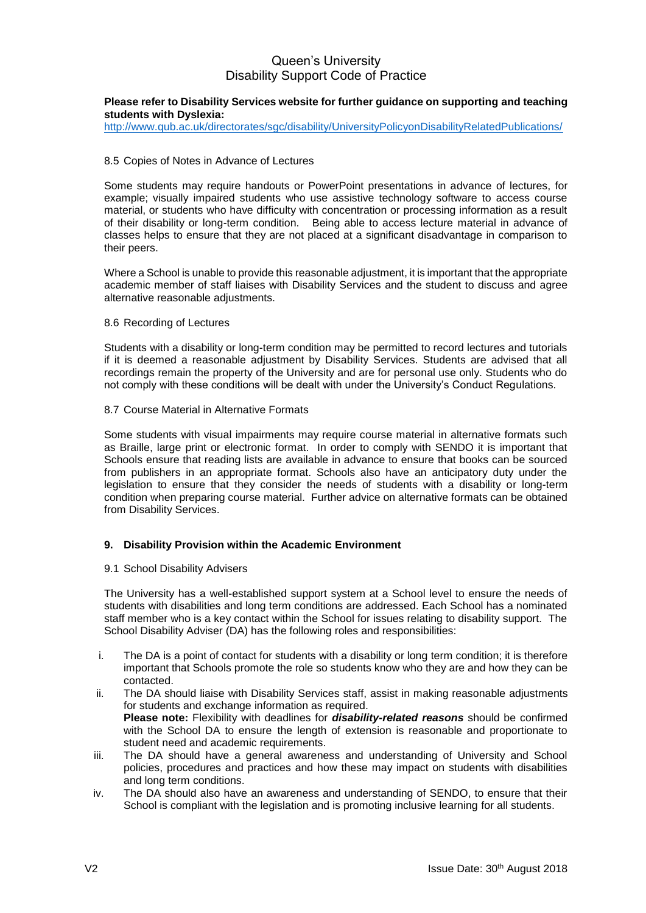#### **Please refer to Disability Services website for further guidance on supporting and teaching students with Dyslexia:**

<http://www.qub.ac.uk/directorates/sgc/disability/UniversityPolicyonDisabilityRelatedPublications/>

#### 8.5 Copies of Notes in Advance of Lectures

Some students may require handouts or PowerPoint presentations in advance of lectures, for example; visually impaired students who use assistive technology software to access course material, or students who have difficulty with concentration or processing information as a result of their disability or long-term condition. Being able to access lecture material in advance of classes helps to ensure that they are not placed at a significant disadvantage in comparison to their peers.

Where a School is unable to provide this reasonable adjustment, it is important that the appropriate academic member of staff liaises with Disability Services and the student to discuss and agree alternative reasonable adjustments.

#### 8.6 Recording of Lectures

Students with a disability or long-term condition may be permitted to record lectures and tutorials if it is deemed a reasonable adjustment by Disability Services. Students are advised that all recordings remain the property of the University and are for personal use only. Students who do not comply with these conditions will be dealt with under the University's Conduct Regulations.

#### 8.7 Course Material in Alternative Formats

Some students with visual impairments may require course material in alternative formats such as Braille, large print or electronic format. In order to comply with SENDO it is important that Schools ensure that reading lists are available in advance to ensure that books can be sourced from publishers in an appropriate format. Schools also have an anticipatory duty under the legislation to ensure that they consider the needs of students with a disability or long-term condition when preparing course material. Further advice on alternative formats can be obtained from Disability Services.

## **9. Disability Provision within the Academic Environment**

#### 9.1 School Disability Advisers

The University has a well-established support system at a School level to ensure the needs of students with disabilities and long term conditions are addressed. Each School has a nominated staff member who is a key contact within the School for issues relating to disability support. The School Disability Adviser (DA) has the following roles and responsibilities:

- i. The DA is a point of contact for students with a disability or long term condition; it is therefore important that Schools promote the role so students know who they are and how they can be contacted.
- ii. The DA should liaise with Disability Services staff, assist in making reasonable adjustments for students and exchange information as required. **Please note:** Flexibility with deadlines for *disability-related reasons* should be confirmed with the School DA to ensure the length of extension is reasonable and proportionate to student need and academic requirements.
- iii. The DA should have a general awareness and understanding of University and School policies, procedures and practices and how these may impact on students with disabilities and long term conditions.
- iv. The DA should also have an awareness and understanding of SENDO, to ensure that their School is compliant with the legislation and is promoting inclusive learning for all students.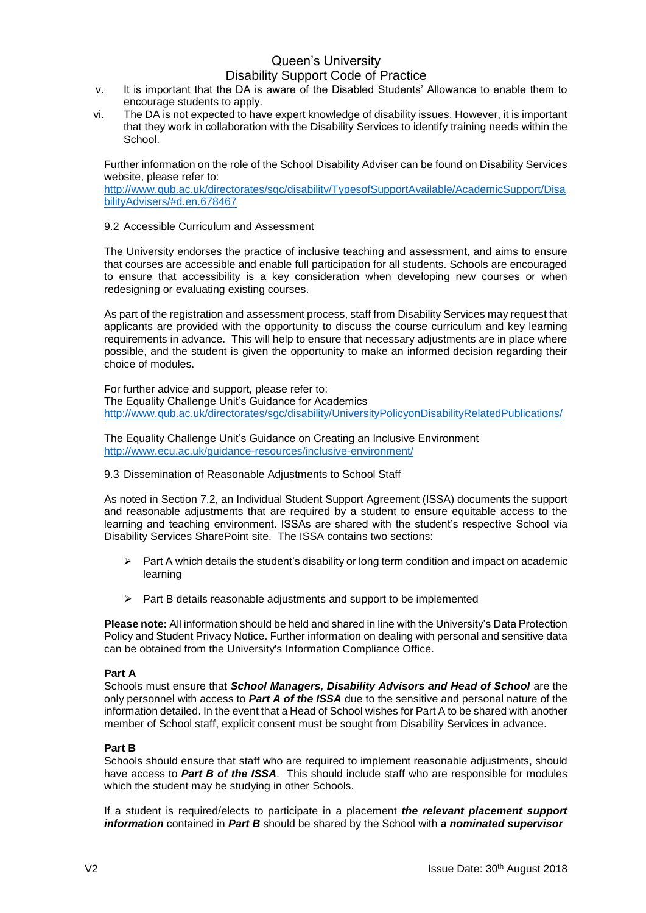- v. It is important that the DA is aware of the Disabled Students' Allowance to enable them to encourage students to apply.
- vi. The DA is not expected to have expert knowledge of disability issues. However, it is important that they work in collaboration with the Disability Services to identify training needs within the **School**.

Further information on the role of the School Disability Adviser can be found on Disability Services website, please refer to:

[http://www.qub.ac.uk/directorates/sgc/disability/TypesofSupportAvailable/AcademicSupport/Disa](http://www.qub.ac.uk/directorates/sgc/disability/TypesofSupportAvailable/AcademicSupport/DisabilityAdvisers/#d.en.678467) [bilityAdvisers/#d.en.678467](http://www.qub.ac.uk/directorates/sgc/disability/TypesofSupportAvailable/AcademicSupport/DisabilityAdvisers/#d.en.678467)

## 9.2 Accessible Curriculum and Assessment

The University endorses the practice of inclusive teaching and assessment, and aims to ensure that courses are accessible and enable full participation for all students. Schools are encouraged to ensure that accessibility is a key consideration when developing new courses or when redesigning or evaluating existing courses.

As part of the registration and assessment process, staff from Disability Services may request that applicants are provided with the opportunity to discuss the course curriculum and key learning requirements in advance. This will help to ensure that necessary adjustments are in place where possible, and the student is given the opportunity to make an informed decision regarding their choice of modules.

For further advice and support, please refer to: The Equality Challenge Unit's Guidance for Academics <http://www.qub.ac.uk/directorates/sgc/disability/UniversityPolicyonDisabilityRelatedPublications/>

The Equality Challenge Unit's Guidance on Creating an Inclusive Environment <http://www.ecu.ac.uk/guidance-resources/inclusive-environment/>

## 9.3 Dissemination of Reasonable Adjustments to School Staff

As noted in Section 7.2, an Individual Student Support Agreement (ISSA) documents the support and reasonable adjustments that are required by a student to ensure equitable access to the learning and teaching environment. ISSAs are shared with the student's respective School via Disability Services SharePoint site. The ISSA contains two sections:

- $\triangleright$  Part A which details the student's disability or long term condition and impact on academic learning
- $\triangleright$  Part B details reasonable adjustments and support to be implemented

**Please note:** All information should be held and shared in line with the University's Data Protection Policy and Student Privacy Notice. Further information on dealing with personal and sensitive data can be obtained from the University's Information Compliance Office.

#### **Part A**

Schools must ensure that *School Managers, Disability Advisors and Head of School* are the only personnel with access to *Part A of the ISSA* due to the sensitive and personal nature of the information detailed. In the event that a Head of School wishes for Part A to be shared with another member of School staff, explicit consent must be sought from Disability Services in advance.

## **Part B**

Schools should ensure that staff who are required to implement reasonable adjustments, should have access to *Part B of the ISSA*. This should include staff who are responsible for modules which the student may be studying in other Schools.

If a student is required/elects to participate in a placement *the relevant placement support information* contained in *Part B* should be shared by the School with *a nominated supervisor*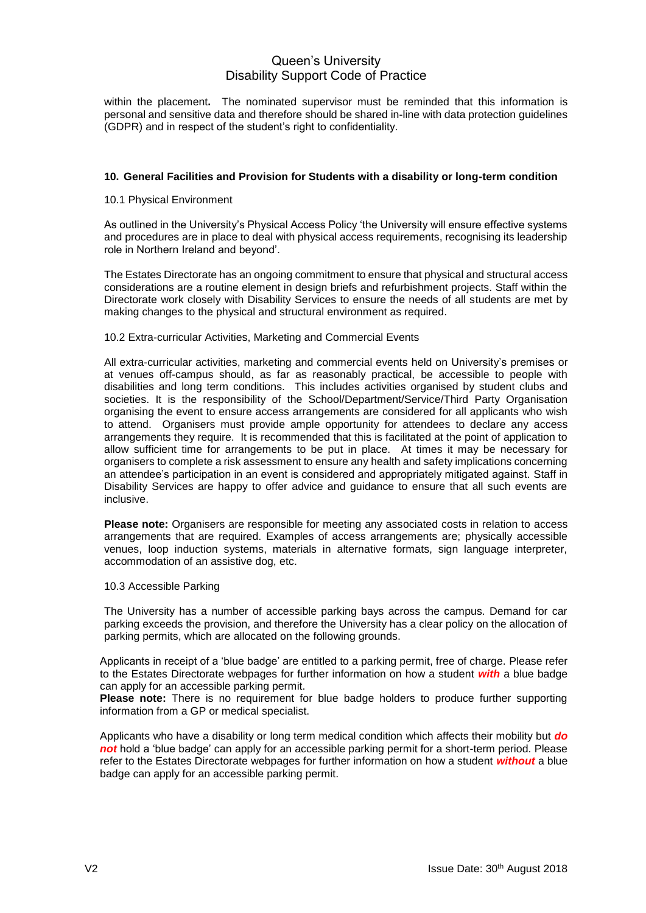within the placement**.** The nominated supervisor must be reminded that this information is personal and sensitive data and therefore should be shared in-line with data protection guidelines (GDPR) and in respect of the student's right to confidentiality.

#### **10. General Facilities and Provision for Students with a disability or long-term condition**

#### 10.1 Physical Environment

As outlined in the University's Physical Access Policy 'the University will ensure effective systems and procedures are in place to deal with physical access requirements, recognising its leadership role in Northern Ireland and beyond'.

The Estates Directorate has an ongoing commitment to ensure that physical and structural access considerations are a routine element in design briefs and refurbishment projects. Staff within the Directorate work closely with Disability Services to ensure the needs of all students are met by making changes to the physical and structural environment as required.

#### 10.2 Extra-curricular Activities, Marketing and Commercial Events

All extra-curricular activities, marketing and commercial events held on University's premises or at venues off-campus should, as far as reasonably practical, be accessible to people with disabilities and long term conditions. This includes activities organised by student clubs and societies. It is the responsibility of the School/Department/Service/Third Party Organisation organising the event to ensure access arrangements are considered for all applicants who wish to attend. Organisers must provide ample opportunity for attendees to declare any access arrangements they require. It is recommended that this is facilitated at the point of application to allow sufficient time for arrangements to be put in place. At times it may be necessary for organisers to complete a risk assessment to ensure any health and safety implications concerning an attendee's participation in an event is considered and appropriately mitigated against. Staff in Disability Services are happy to offer advice and guidance to ensure that all such events are inclusive.

**Please note:** Organisers are responsible for meeting any associated costs in relation to access arrangements that are required. Examples of access arrangements are; physically accessible venues, loop induction systems, materials in alternative formats, sign language interpreter, accommodation of an assistive dog, etc.

#### 10.3 Accessible Parking

The University has a number of accessible parking bays across the campus. Demand for car parking exceeds the provision, and therefore the University has a clear policy on the allocation of parking permits, which are allocated on the following grounds.

Applicants in receipt of a 'blue badge' are entitled to a parking permit, free of charge. Please refer to the Estates Directorate webpages for further information on how a student *with* a blue badge can apply for an accessible parking permit.

**Please note:** There is no requirement for blue badge holders to produce further supporting information from a GP or medical specialist.

Applicants who have a disability or long term medical condition which affects their mobility but *do not* hold a 'blue badge' can apply for an accessible parking permit for a short-term period. Please refer to the Estates Directorate webpages for further information on how a student *without* a blue badge can apply for an accessible parking permit.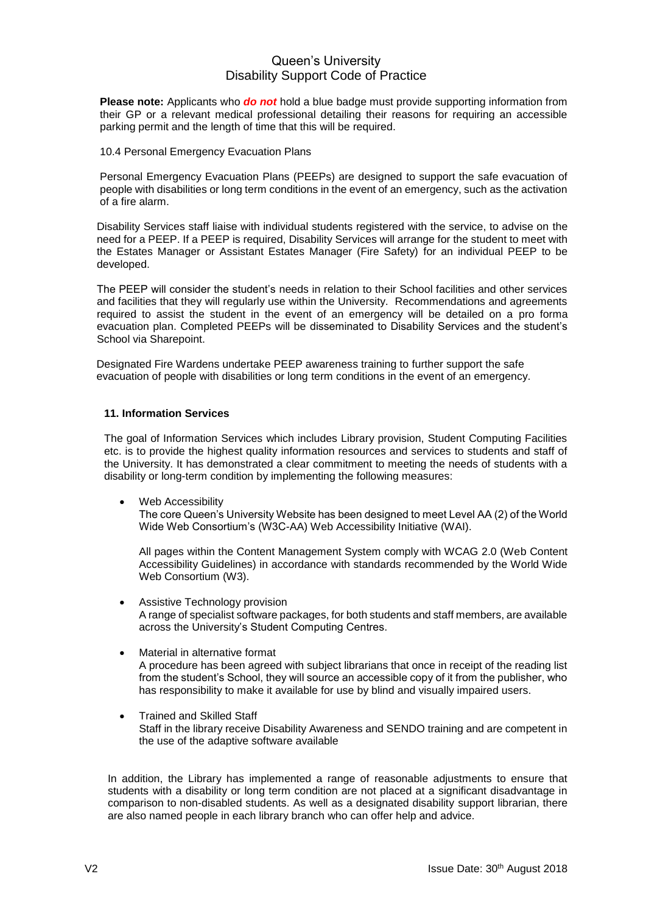**Please note:** Applicants who *do not* hold a blue badge must provide supporting information from their GP or a relevant medical professional detailing their reasons for requiring an accessible parking permit and the length of time that this will be required.

10.4 Personal Emergency Evacuation Plans

Personal Emergency Evacuation Plans (PEEPs) are designed to support the safe evacuation of people with disabilities or long term conditions in the event of an emergency, such as the activation of a fire alarm.

Disability Services staff liaise with individual students registered with the service, to advise on the need for a PEEP. If a PEEP is required, Disability Services will arrange for the student to meet with the Estates Manager or Assistant Estates Manager (Fire Safety) for an individual PEEP to be developed.

The PEEP will consider the student's needs in relation to their School facilities and other services and facilities that they will regularly use within the University. Recommendations and agreements required to assist the student in the event of an emergency will be detailed on a pro forma evacuation plan. Completed PEEPs will be disseminated to Disability Services and the student's School via Sharepoint.

Designated Fire Wardens undertake PEEP awareness training to further support the safe evacuation of people with disabilities or long term conditions in the event of an emergency.

## **11. Information Services**

The goal of Information Services which includes Library provision, Student Computing Facilities etc. is to provide the highest quality information resources and services to students and staff of the University. It has demonstrated a clear commitment to meeting the needs of students with a disability or long-term condition by implementing the following measures:

Web Accessibility

The core Queen's University Website has been designed to meet Level AA (2) of the World Wide Web Consortium's (W3C-AA) Web Accessibility Initiative (WAI).

All pages within the Content Management System comply with WCAG 2.0 (Web Content Accessibility Guidelines) in accordance with standards recommended by the World Wide Web Consortium (W3).

- Assistive Technology provision A range of specialist software packages, for both students and staff members, are available across the University's Student Computing Centres.
- Material in alternative format A procedure has been agreed with subject librarians that once in receipt of the reading list from the student's School, they will source an accessible copy of it from the publisher, who has responsibility to make it available for use by blind and visually impaired users.
- Trained and Skilled Staff Staff in the library receive Disability Awareness and SENDO training and are competent in the use of the adaptive software available

In addition, the Library has implemented a range of reasonable adjustments to ensure that students with a disability or long term condition are not placed at a significant disadvantage in comparison to non-disabled students. As well as a designated disability support librarian, there are also named people in each library branch who can offer help and advice.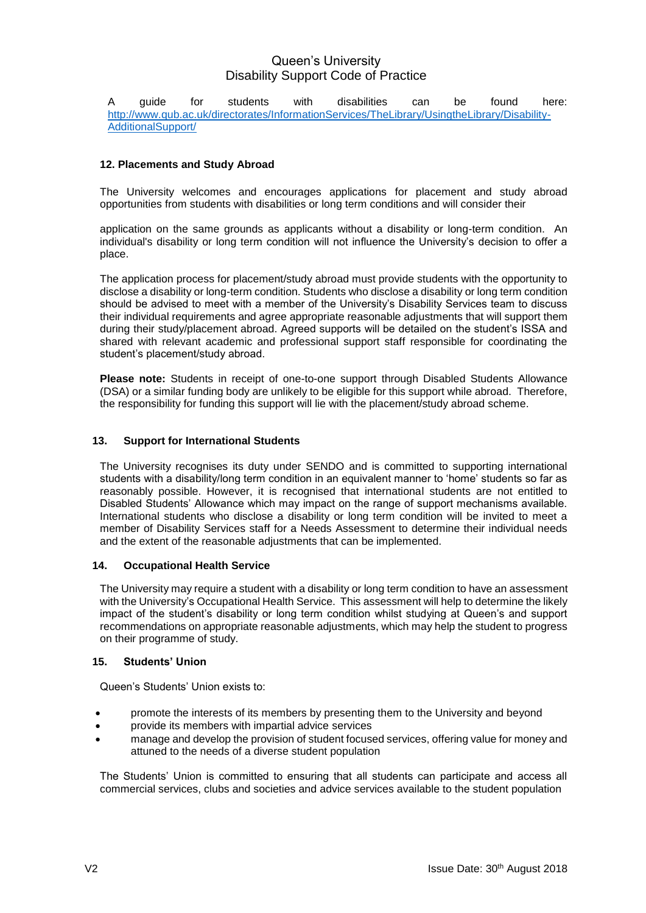A guide for students with disabilities can be found here: [http://www.qub.ac.uk/directorates/InformationServices/TheLibrary/UsingtheLibrary/Disability-](http://www.qub.ac.uk/directorates/InformationServices/TheLibrary/UsingtheLibrary/Disability-AdditionalSupport/)[AdditionalSupport/](http://www.qub.ac.uk/directorates/InformationServices/TheLibrary/UsingtheLibrary/Disability-AdditionalSupport/)

## **12. Placements and Study Abroad**

The University welcomes and encourages applications for placement and study abroad opportunities from students with disabilities or long term conditions and will consider their

application on the same grounds as applicants without a disability or long-term condition. An individual's disability or long term condition will not influence the University's decision to offer a place.

The application process for placement/study abroad must provide students with the opportunity to disclose a disability or long-term condition. Students who disclose a disability or long term condition should be advised to meet with a member of the University's Disability Services team to discuss their individual requirements and agree appropriate reasonable adjustments that will support them during their study/placement abroad. Agreed supports will be detailed on the student's ISSA and shared with relevant academic and professional support staff responsible for coordinating the student's placement/study abroad.

**Please note:** Students in receipt of one-to-one support through Disabled Students Allowance (DSA) or a similar funding body are unlikely to be eligible for this support while abroad. Therefore, the responsibility for funding this support will lie with the placement/study abroad scheme.

## **13. Support for International Students**

The University recognises its duty under SENDO and is committed to supporting international students with a disability/long term condition in an equivalent manner to 'home' students so far as reasonably possible. However, it is recognised that international students are not entitled to Disabled Students' Allowance which may impact on the range of support mechanisms available. International students who disclose a disability or long term condition will be invited to meet a member of Disability Services staff for a Needs Assessment to determine their individual needs and the extent of the reasonable adjustments that can be implemented.

## **14. Occupational Health Service**

The University may require a student with a disability or long term condition to have an assessment with the University's Occupational Health Service. This assessment will help to determine the likely impact of the student's disability or long term condition whilst studying at Queen's and support recommendations on appropriate reasonable adjustments, which may help the student to progress on their programme of study.

## **15. Students' Union**

Queen's Students' Union exists to:

- promote the interests of its members by presenting them to the University and beyond
- provide its members with impartial advice services
- manage and develop the provision of student focused services, offering value for money and attuned to the needs of a diverse student population

The Students' Union is committed to ensuring that all students can participate and access all commercial services, clubs and societies and advice services available to the student population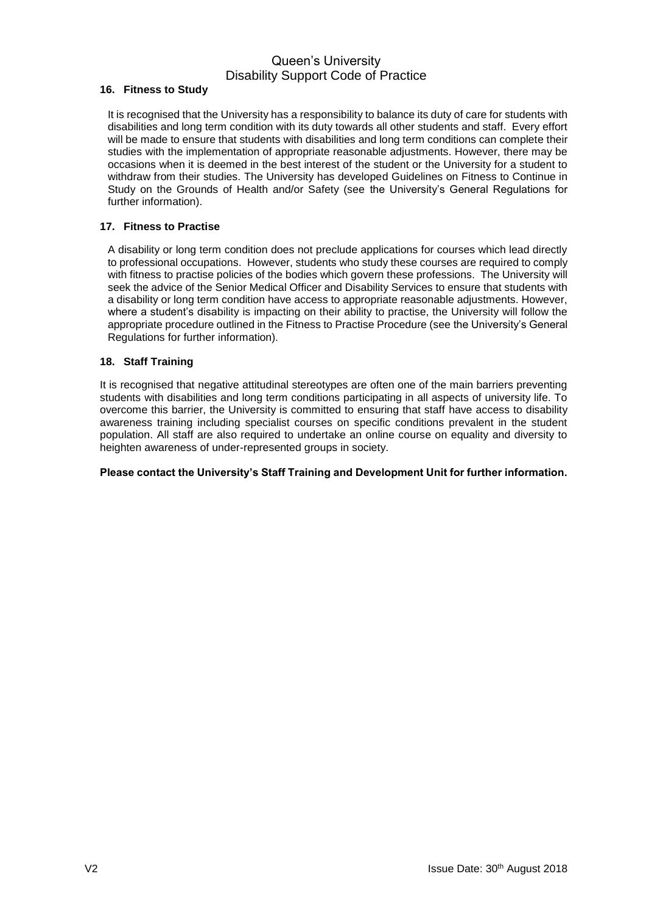## **16. Fitness to Study**

It is recognised that the University has a responsibility to balance its duty of care for students with disabilities and long term condition with its duty towards all other students and staff. Every effort will be made to ensure that students with disabilities and long term conditions can complete their studies with the implementation of appropriate reasonable adjustments. However, there may be occasions when it is deemed in the best interest of the student or the University for a student to withdraw from their studies. The University has developed Guidelines on Fitness to Continue in Study on the Grounds of Health and/or Safety (see the University's General Regulations for further information).

## **17. Fitness to Practise**

A disability or long term condition does not preclude applications for courses which lead directly to professional occupations. However, students who study these courses are required to comply with fitness to practise policies of the bodies which govern these professions. The University will seek the advice of the Senior Medical Officer and Disability Services to ensure that students with a disability or long term condition have access to appropriate reasonable adjustments. However, where a student's disability is impacting on their ability to practise, the University will follow the appropriate procedure outlined in the Fitness to Practise Procedure (see the University's General Regulations for further information).

## **18. Staff Training**

It is recognised that negative attitudinal stereotypes are often one of the main barriers preventing students with disabilities and long term conditions participating in all aspects of university life. To overcome this barrier, the University is committed to ensuring that staff have access to disability awareness training including specialist courses on specific conditions prevalent in the student population. All staff are also required to undertake an online course on equality and diversity to heighten awareness of under-represented groups in society.

## **Please contact the University's Staff Training and Development Unit for further information.**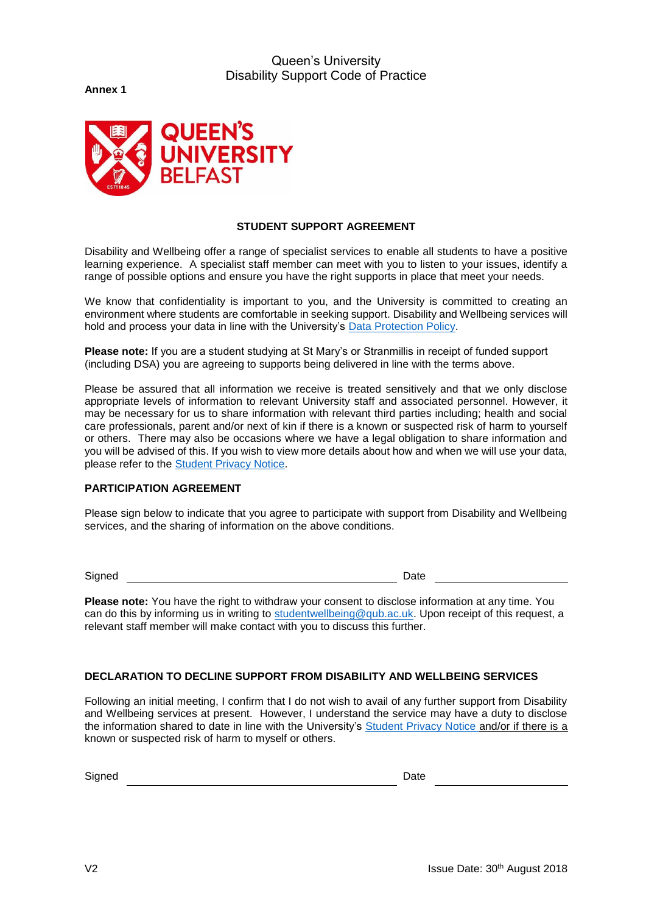**Annex 1**



## **STUDENT SUPPORT AGREEMENT**

Disability and Wellbeing offer a range of specialist services to enable all students to have a positive learning experience. A specialist staff member can meet with you to listen to your issues, identify a range of possible options and ensure you have the right supports in place that meet your needs.

We know that confidentiality is important to you, and the University is committed to creating an environment where students are comfortable in seeking support. Disability and Wellbeing services will hold and process your data in line with the University's [Data Protection Policy.](http://www.qub.ac.uk/about/Leadership-and-structure/Registrars-Office/FileStore/Filetoupload,732891,en.pdf)

**Please note:** If you are a student studying at St Mary's or Stranmillis in receipt of funded support (including DSA) you are agreeing to supports being delivered in line with the terms above.

Please be assured that all information we receive is treated sensitively and that we only disclose appropriate levels of information to relevant University staff and associated personnel. However, it may be necessary for us to share information with relevant third parties including; health and social care professionals, parent and/or next of kin if there is a known or suspected risk of harm to yourself or others. There may also be occasions where we have a legal obligation to share information and you will be advised of this. If you wish to view more details about how and when we will use your data, please refer to the [Student Privacy Notice.](http://www.qub.ac.uk/about/Leadership-and-structure/Registrars-Office/FileStore/Filetoupload,766524,en.pdf)

## **PARTICIPATION AGREEMENT**

Please sign below to indicate that you agree to participate with support from Disability and Wellbeing services, and the sharing of information on the above conditions.

Signed **Date** 

**Please note:** You have the right to withdraw your consent to disclose information at any time. You can do this by informing us in writing to [studentwellbeing@qub.ac.uk.](mailto:studentwellbeing@qub.ac.uk) Upon receipt of this request, a relevant staff member will make contact with you to discuss this further.

# **DECLARATION TO DECLINE SUPPORT FROM DISABILITY AND WELLBEING SERVICES**

Following an initial meeting, I confirm that I do not wish to avail of any further support from Disability and Wellbeing services at present. However, I understand the service may have a duty to disclose the information shared to date in line with the University's [Student Privacy Notice](https://www.qub.ac.uk/about/Leadership-and-structure/Registrars-Office/FileStore/Filetoupload,766524,en.pdf) and/or if there is a known or suspected risk of harm to myself or others.

Signed **Date**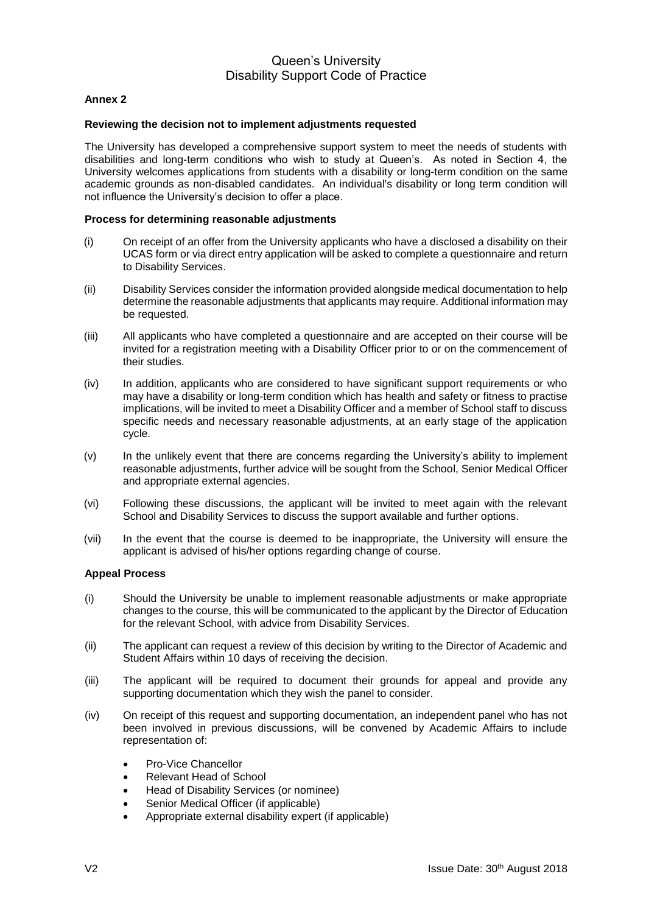## **Annex 2**

#### **Reviewing the decision not to implement adjustments requested**

The University has developed a comprehensive support system to meet the needs of students with disabilities and long-term conditions who wish to study at Queen's. As noted in Section 4, the University welcomes applications from students with a disability or long-term condition on the same academic grounds as non-disabled candidates. An individual's disability or long term condition will not influence the University's decision to offer a place.

#### **Process for determining reasonable adjustments**

- (i) On receipt of an offer from the University applicants who have a disclosed a disability on their UCAS form or via direct entry application will be asked to complete a questionnaire and return to Disability Services.
- (ii) Disability Services consider the information provided alongside medical documentation to help determine the reasonable adjustments that applicants may require. Additional information may be requested.
- (iii) All applicants who have completed a questionnaire and are accepted on their course will be invited for a registration meeting with a Disability Officer prior to or on the commencement of their studies.
- (iv) In addition, applicants who are considered to have significant support requirements or who may have a disability or long-term condition which has health and safety or fitness to practise implications, will be invited to meet a Disability Officer and a member of School staff to discuss specific needs and necessary reasonable adjustments, at an early stage of the application cycle.
- (v) In the unlikely event that there are concerns regarding the University's ability to implement reasonable adjustments, further advice will be sought from the School, Senior Medical Officer and appropriate external agencies.
- (vi) Following these discussions, the applicant will be invited to meet again with the relevant School and Disability Services to discuss the support available and further options.
- (vii) In the event that the course is deemed to be inappropriate, the University will ensure the applicant is advised of his/her options regarding change of course.

#### **Appeal Process**

- (i) Should the University be unable to implement reasonable adjustments or make appropriate changes to the course, this will be communicated to the applicant by the Director of Education for the relevant School, with advice from Disability Services.
- (ii) The applicant can request a review of this decision by writing to the Director of Academic and Student Affairs within 10 days of receiving the decision.
- (iii) The applicant will be required to document their grounds for appeal and provide any supporting documentation which they wish the panel to consider.
- (iv) On receipt of this request and supporting documentation, an independent panel who has not been involved in previous discussions, will be convened by Academic Affairs to include representation of:
	- Pro-Vice Chancellor
	- Relevant Head of School
	- Head of Disability Services (or nominee)
	- Senior Medical Officer (if applicable)
	- Appropriate external disability expert (if applicable)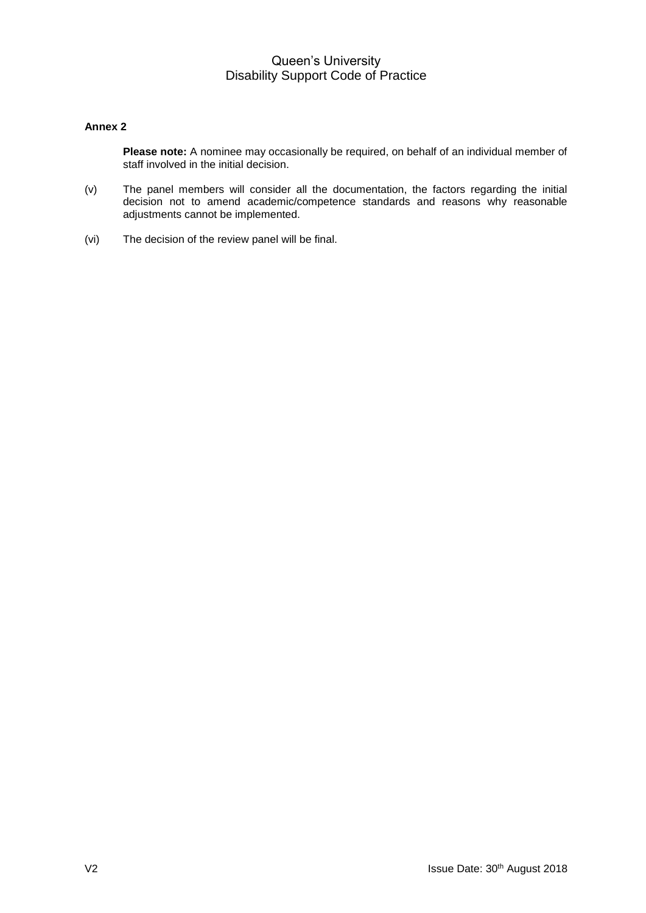## **Annex 2**

**Please note:** A nominee may occasionally be required, on behalf of an individual member of staff involved in the initial decision.

- (v) The panel members will consider all the documentation, the factors regarding the initial decision not to amend academic/competence standards and reasons why reasonable adjustments cannot be implemented.
- (vi) The decision of the review panel will be final.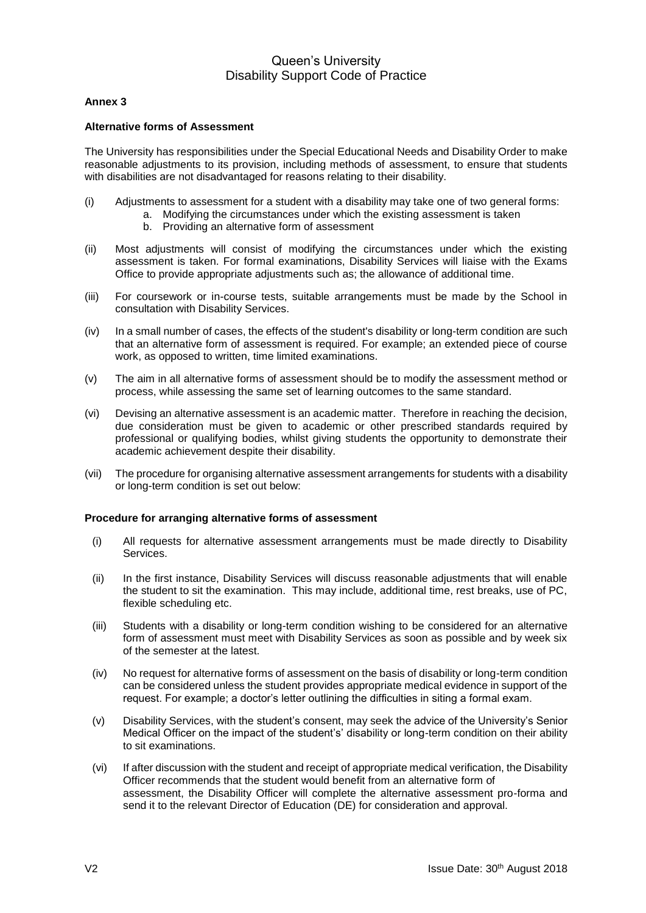## **Annex 3**

#### **Alternative forms of Assessment**

The University has responsibilities under the Special Educational Needs and Disability Order to make reasonable adjustments to its provision, including methods of assessment, to ensure that students with disabilities are not disadvantaged for reasons relating to their disability.

- (i) Adjustments to assessment for a student with a disability may take one of two general forms:
	- a. Modifying the circumstances under which the existing assessment is taken
		- b. Providing an alternative form of assessment
- (ii) Most adjustments will consist of modifying the circumstances under which the existing assessment is taken. For formal examinations, Disability Services will liaise with the Exams Office to provide appropriate adjustments such as; the allowance of additional time.
- (iii) For coursework or in-course tests, suitable arrangements must be made by the School in consultation with Disability Services.
- (iv) In a small number of cases, the effects of the student's disability or long-term condition are such that an alternative form of assessment is required. For example; an extended piece of course work, as opposed to written, time limited examinations.
- (v) The aim in all alternative forms of assessment should be to modify the assessment method or process, while assessing the same set of learning outcomes to the same standard.
- (vi) Devising an alternative assessment is an academic matter. Therefore in reaching the decision, due consideration must be given to academic or other prescribed standards required by professional or qualifying bodies, whilst giving students the opportunity to demonstrate their academic achievement despite their disability.
- (vii) The procedure for organising alternative assessment arrangements for students with a disability or long-term condition is set out below:

## **Procedure for arranging alternative forms of assessment**

- (i) All requests for alternative assessment arrangements must be made directly to Disability Services.
- (ii) In the first instance, Disability Services will discuss reasonable adjustments that will enable the student to sit the examination. This may include, additional time, rest breaks, use of PC, flexible scheduling etc.
- (iii) Students with a disability or long-term condition wishing to be considered for an alternative form of assessment must meet with Disability Services as soon as possible and by week six of the semester at the latest.
- (iv) No request for alternative forms of assessment on the basis of disability or long-term condition can be considered unless the student provides appropriate medical evidence in support of the request. For example; a doctor's letter outlining the difficulties in siting a formal exam.
- (v) Disability Services, with the student's consent, may seek the advice of the University's Senior Medical Officer on the impact of the student's' disability or long-term condition on their ability to sit examinations.
- (vi) If after discussion with the student and receipt of appropriate medical verification, the Disability Officer recommends that the student would benefit from an alternative form of assessment, the Disability Officer will complete the alternative assessment pro-forma and send it to the relevant Director of Education (DE) for consideration and approval.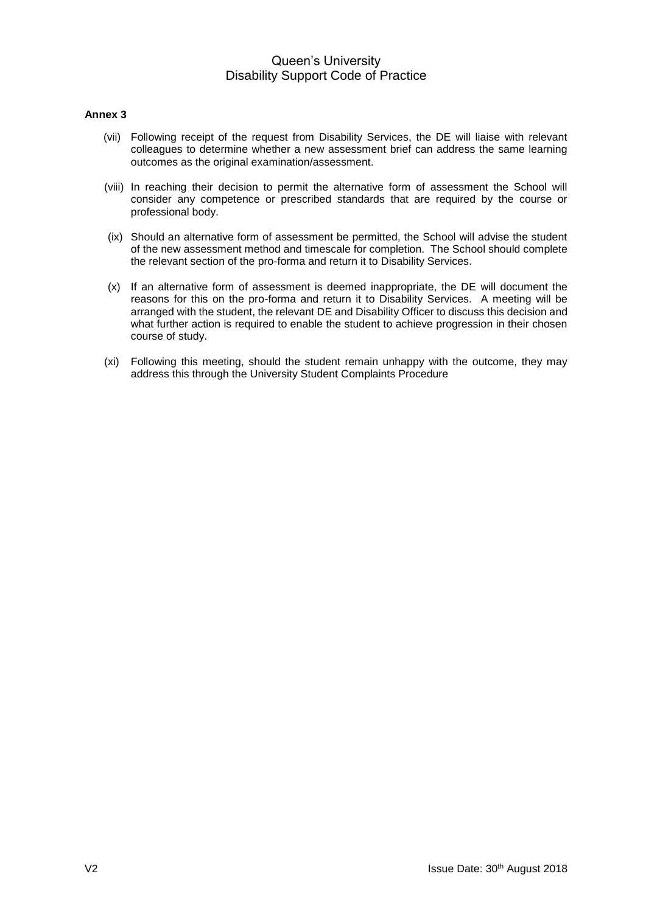#### **Annex 3**

- (vii) Following receipt of the request from Disability Services, the DE will liaise with relevant colleagues to determine whether a new assessment brief can address the same learning outcomes as the original examination/assessment.
- (viii) In reaching their decision to permit the alternative form of assessment the School will consider any competence or prescribed standards that are required by the course or professional body.
- (ix) Should an alternative form of assessment be permitted, the School will advise the student of the new assessment method and timescale for completion. The School should complete the relevant section of the pro-forma and return it to Disability Services.
- (x) If an alternative form of assessment is deemed inappropriate, the DE will document the reasons for this on the pro-forma and return it to Disability Services. A meeting will be arranged with the student, the relevant DE and Disability Officer to discuss this decision and what further action is required to enable the student to achieve progression in their chosen course of study.
- (xi) Following this meeting, should the student remain unhappy with the outcome, they may address this through the University Student Complaints Procedure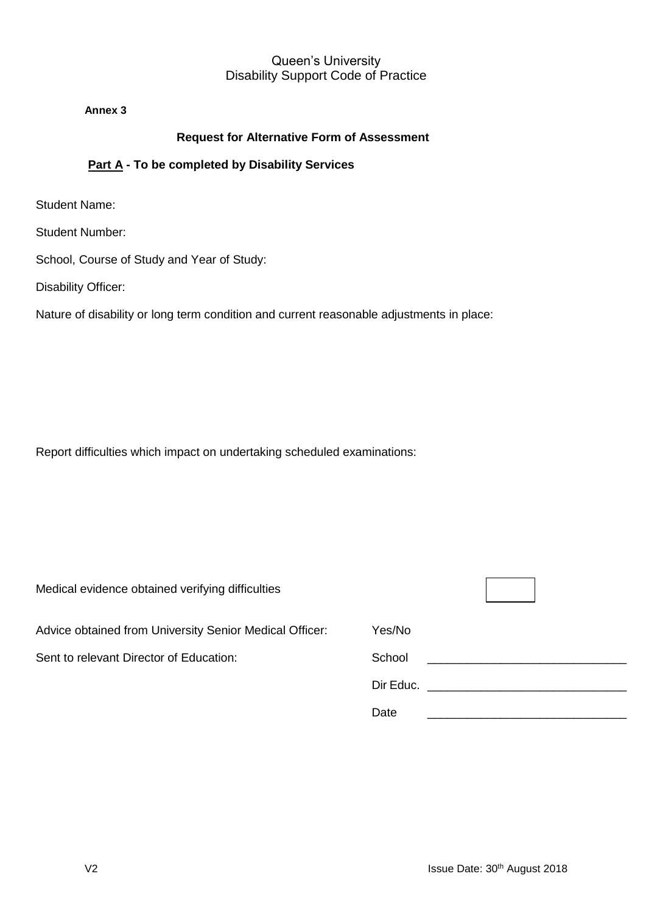**Annex 3**

# **Request for Alternative Form of Assessment**

# **Part A - To be completed by Disability Services**

Student Name:

Student Number:

School, Course of Study and Year of Study:

Disability Officer:

Nature of disability or long term condition and current reasonable adjustments in place:

Report difficulties which impact on undertaking scheduled examinations:

| Medical evidence obtained verifying difficulties        |        |
|---------------------------------------------------------|--------|
| Advice obtained from University Senior Medical Officer: | Yes/No |
| Sent to relevant Director of Education:                 | School |
|                                                         |        |
|                                                         | Date   |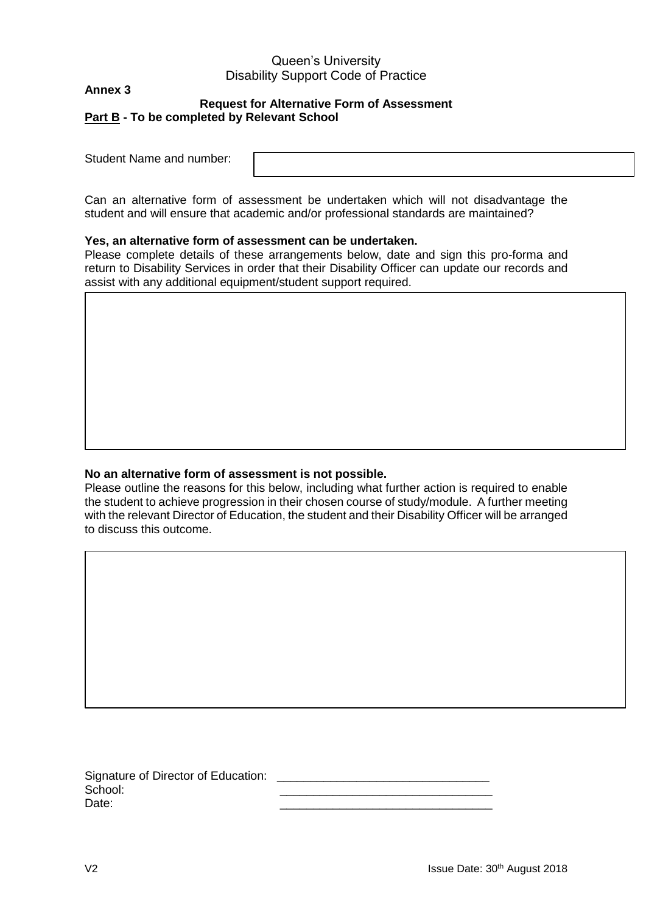## **Annex 3**

## **Request for Alternative Form of Assessment Part B - To be completed by Relevant School**

Student Name and number:

Can an alternative form of assessment be undertaken which will not disadvantage the student and will ensure that academic and/or professional standards are maintained?

## **Yes, an alternative form of assessment can be undertaken.**

Please complete details of these arrangements below, date and sign this pro-forma and return to Disability Services in order that their Disability Officer can update our records and assist with any additional equipment/student support required.

## **No an alternative form of assessment is not possible.**

Please outline the reasons for this below, including what further action is required to enable the student to achieve progression in their chosen course of study/module. A further meeting with the relevant Director of Education, the student and their Disability Officer will be arranged to discuss this outcome.

Signature of Director of Education: School: \_\_\_\_\_\_\_\_\_\_\_\_\_\_\_\_\_\_\_\_\_\_\_\_\_\_\_\_\_\_\_\_ Date: \_\_\_\_\_\_\_\_\_\_\_\_\_\_\_\_\_\_\_\_\_\_\_\_\_\_\_\_\_\_\_\_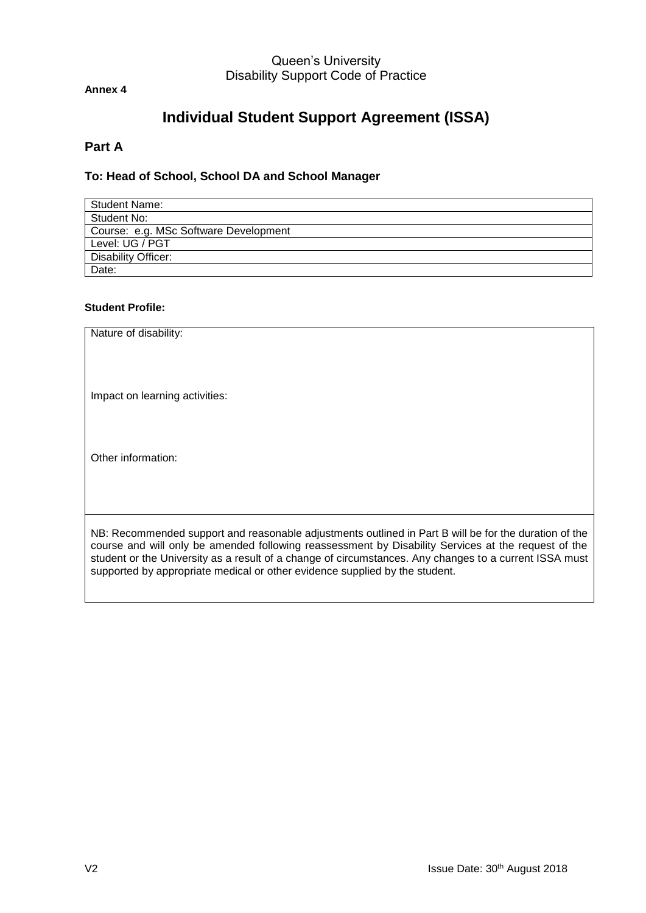**Annex 4**

# **Individual Student Support Agreement (ISSA)**

# **Part A**

# **To: Head of School, School DA and School Manager**

| <b>Student Name:</b>                  |
|---------------------------------------|
| Student No:                           |
| Course: e.g. MSc Software Development |
| Level: UG / PGT                       |
| <b>Disability Officer:</b>            |
| Date:                                 |

## **Student Profile:**

| Nature of disability:                                                                                                                                                                                                                                                                                                                                                                                 |
|-------------------------------------------------------------------------------------------------------------------------------------------------------------------------------------------------------------------------------------------------------------------------------------------------------------------------------------------------------------------------------------------------------|
| Impact on learning activities:                                                                                                                                                                                                                                                                                                                                                                        |
| Other information:                                                                                                                                                                                                                                                                                                                                                                                    |
| NB: Recommended support and reasonable adjustments outlined in Part B will be for the duration of the<br>course and will only be amended following reassessment by Disability Services at the request of the<br>student or the University as a result of a change of circumstances. Any changes to a current ISSA must<br>supported by appropriate medical or other evidence supplied by the student. |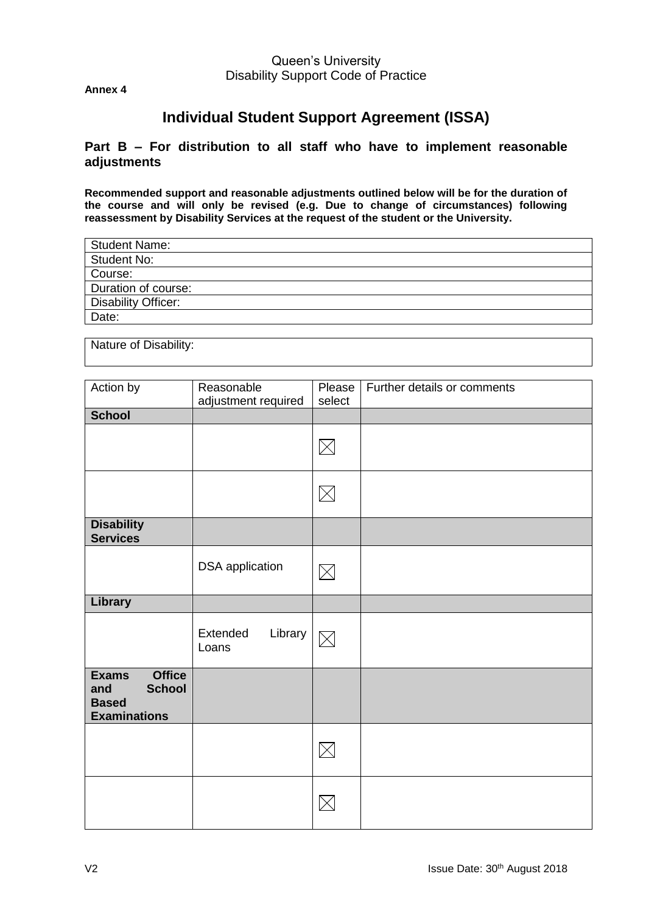**Annex 4**

# **Individual Student Support Agreement (ISSA)**

## **Part B – For distribution to all staff who have to implement reasonable adjustments**

**Recommended support and reasonable adjustments outlined below will be for the duration of the course and will only be revised (e.g. Due to change of circumstances) following reassessment by Disability Services at the request of the student or the University.** 

Nature of Disability:

| Action by                                                                                    | Reasonable                   | Please      | Further details or comments |
|----------------------------------------------------------------------------------------------|------------------------------|-------------|-----------------------------|
|                                                                                              | adjustment required          | select      |                             |
| <b>School</b>                                                                                |                              |             |                             |
|                                                                                              |                              | $\boxtimes$ |                             |
|                                                                                              |                              |             |                             |
|                                                                                              |                              | $\boxtimes$ |                             |
| <b>Disability</b><br><b>Services</b>                                                         |                              |             |                             |
|                                                                                              | <b>DSA</b> application       | $\boxtimes$ |                             |
| Library                                                                                      |                              |             |                             |
|                                                                                              | Library<br>Extended<br>Loans | $\boxtimes$ |                             |
| <b>Office</b><br><b>Exams</b><br><b>School</b><br>and<br><b>Based</b><br><b>Examinations</b> |                              |             |                             |
|                                                                                              |                              | $\boxtimes$ |                             |
|                                                                                              |                              |             |                             |